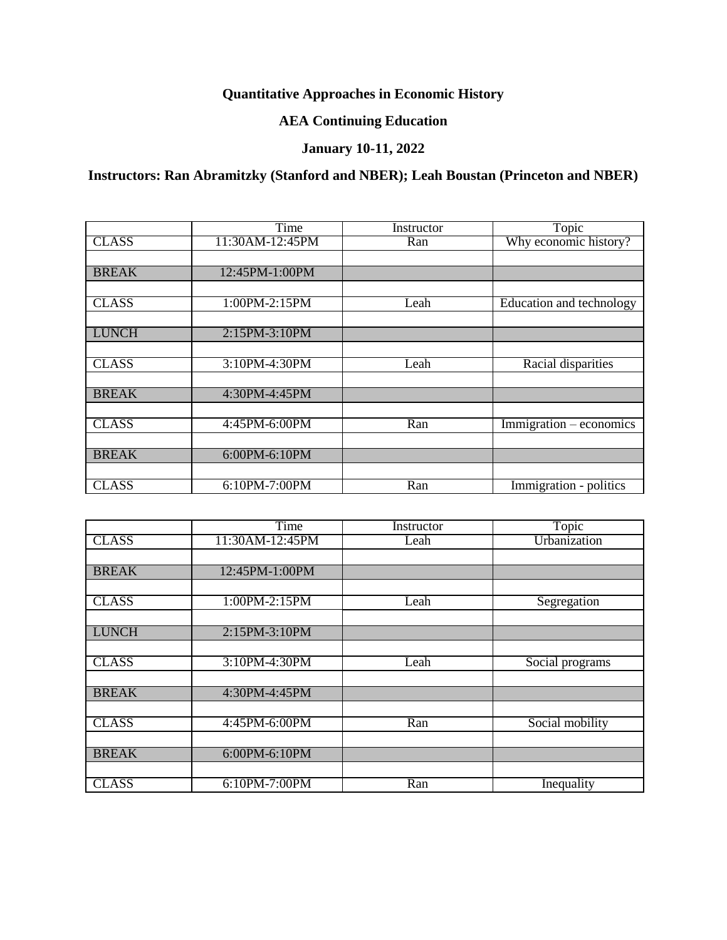# **Quantitative Approaches in Economic History**

## **AEA Continuing Education**

## **January 10-11, 2022**

## **Instructors: Ran Abramitzky (Stanford and NBER); Leah Boustan (Princeton and NBER)**

|              | Time            | Instructor | Topic                                       |
|--------------|-----------------|------------|---------------------------------------------|
| <b>CLASS</b> | 11:30AM-12:45PM | Ran        | Why economic history?                       |
|              |                 |            |                                             |
| <b>BREAK</b> | 12:45PM-1:00PM  |            |                                             |
|              |                 |            |                                             |
| <b>CLASS</b> | 1:00PM-2:15PM   | Leah       | Education and technology                    |
|              |                 |            |                                             |
| <b>LUNCH</b> | 2:15PM-3:10PM   |            |                                             |
|              |                 |            |                                             |
| <b>CLASS</b> | 3:10PM-4:30PM   | Leah       | Racial disparities                          |
|              |                 |            |                                             |
| <b>BREAK</b> | 4:30PM-4:45PM   |            |                                             |
|              |                 |            |                                             |
| <b>CLASS</b> | 4:45PM-6:00PM   | Ran        | $\overline{\text{Immigration}}$ – economics |
|              |                 |            |                                             |
| <b>BREAK</b> | 6:00PM-6:10PM   |            |                                             |
|              |                 |            |                                             |
| <b>CLASS</b> | 6:10PM-7:00PM   | Ran        | Immigration - politics                      |

|              | Time            | Instructor | Topic           |
|--------------|-----------------|------------|-----------------|
| <b>CLASS</b> | 11:30AM-12:45PM | Leah       | Urbanization    |
|              |                 |            |                 |
| <b>BREAK</b> | 12:45PM-1:00PM  |            |                 |
|              |                 |            |                 |
| <b>CLASS</b> | 1:00PM-2:15PM   | Leah       | Segregation     |
|              |                 |            |                 |
| <b>LUNCH</b> | 2:15PM-3:10PM   |            |                 |
|              |                 |            |                 |
| <b>CLASS</b> | 3:10PM-4:30PM   | Leah       | Social programs |
|              |                 |            |                 |
| <b>BREAK</b> | 4:30PM-4:45PM   |            |                 |
|              |                 |            |                 |
| <b>CLASS</b> | 4:45PM-6:00PM   | Ran        | Social mobility |
|              |                 |            |                 |
| <b>BREAK</b> | 6:00PM-6:10PM   |            |                 |
|              |                 |            |                 |
| <b>CLASS</b> | 6:10PM-7:00PM   | Ran        | Inequality      |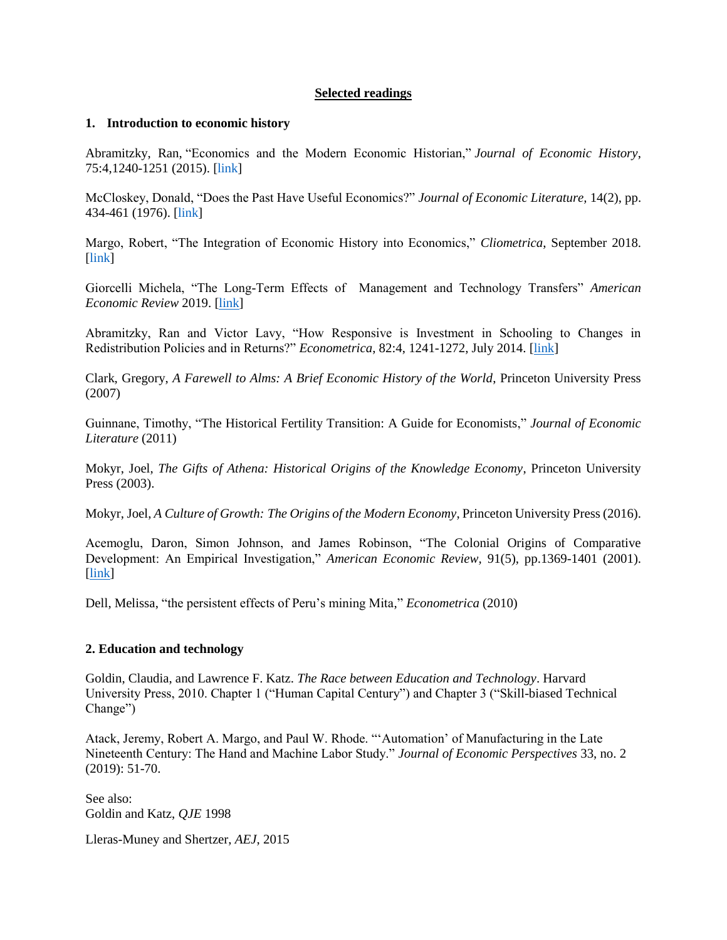### **Selected readings**

#### **1. Introduction to economic history**

Abramitzky, Ran, "Economics and the Modern Economic Historian," *Journal of Economic History*, 75:4,1240-1251 (2015). [\[link\]](https://people.stanford.edu/ranabr/sites/default/files/future.pdf)

McCloskey, Donald, "Does the Past Have Useful Economics?" *Journal of Economic Literature,* 14(2), pp. 434-461 (1976). [\[link\]](http://www.jstor.org/view/00220515/dm990784/99p00816/0)

Margo, Robert, "The Integration of Economic History into Economics," *Cliometrica*, September 2018. [\[link\]](https://www.bu.edu/econ/files/2019/07/Margo-Integration-of-Economic-History-Cliometrica-September-2018.pdf)

Giorcelli Michela, "The Long-Term Effects of Management and Technology Transfers" *American Economic Review* 2019. [\[link\]](http://www.giorcellimichela.com/uploads/8/3/7/0/83709646/giorcelli_productivity_program.pdf)

Abramitzky, Ran and Victor Lavy, "How Responsive is Investment in Schooling to Changes in Redistribution Policies and in Returns?" *Econometrica*, 82:4, 1241-1272, July 2014. [\[link\]](http://web.stanford.edu/~ranabr/Abramitzky_Lavy.pdf)

Clark, Gregory, *A Farewell to Alms: A Brief Economic History of the World*, Princeton University Press (2007)

Guinnane, Timothy, "The Historical Fertility Transition: A Guide for Economists," *Journal of Economic Literature* (2011)

Mokyr, Joel, *The Gifts of Athena: Historical Origins of the Knowledge Economy*, Princeton University Press (2003).

Mokyr, Joel, *A Culture of Growth: The Origins of the Modern Economy*, Princeton University Press (2016).

Acemoglu, Daron, Simon Johnson, and James Robinson, "The Colonial Origins of Comparative Development: An Empirical Investigation," *American Economic Review,* 91(5), pp.1369-1401 (2001). [\[link\]](http://www.jstor.org/sici?sici=0002-8282(200112)91%3A5%3C1369%3ATCOOCD%3E2.0.CO%3B2-9)

Dell, Melissa, "the persistent effects of Peru's mining Mita," *Econometrica* (2010)

## **2. Education and technology**

Goldin, Claudia, and Lawrence F. Katz. *The Race between Education and Technology*. Harvard University Press, 2010. Chapter 1 ("Human Capital Century") and Chapter 3 ("Skill-biased Technical Change")

Atack, Jeremy, Robert A. Margo, and Paul W. Rhode. "'Automation' of Manufacturing in the Late Nineteenth Century: The Hand and Machine Labor Study." *Journal of Economic Perspectives* 33, no. 2 (2019): 51-70.

See also: Goldin and Katz, *QJE* 1998

Lleras-Muney and Shertzer, *AEJ*, 2015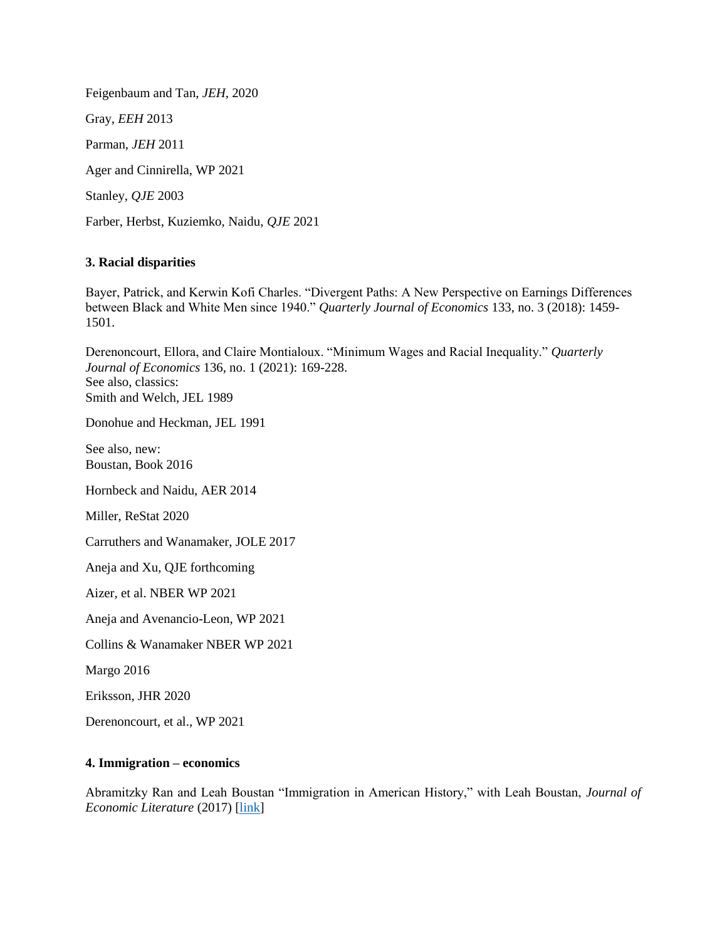Feigenbaum and Tan, *JEH*, 2020 Gray, *EEH* 2013 Parman, *JEH* 2011 Ager and Cinnirella, WP 2021 Stanley, *QJE* 2003 Farber, Herbst, Kuziemko, Naidu, *QJE* 2021

## **3. Racial disparities**

Bayer, Patrick, and Kerwin Kofi Charles. "Divergent Paths: A New Perspective on Earnings Differences between Black and White Men since 1940." *Quarterly Journal of Economics* 133, no. 3 (2018): 1459- 1501.

Derenoncourt, Ellora, and Claire Montialoux. "Minimum Wages and Racial Inequality." *Quarterly Journal of Economics* 136, no. 1 (2021): 169-228. See also, classics: Smith and Welch, JEL 1989

Donohue and Heckman, JEL 1991

See also, new: Boustan, Book 2016

Hornbeck and Naidu, AER 2014

Miller, ReStat 2020

Carruthers and Wanamaker, JOLE 2017

Aneja and Xu, QJE forthcoming

Aizer, et al. NBER WP 2021

Aneja and Avenancio-Leon, WP 2021

Collins & Wanamaker NBER WP 2021

Margo 2016

Eriksson, JHR 2020

Derenoncourt, et al., WP 2021

#### **4. Immigration – economics**

Abramitzky Ran and Leah Boustan "Immigration in American History," with Leah Boustan, *Journal of Economic Literature* (2017) [\[link\]](https://people.stanford.edu/ranabr/sites/default/files/abramitzky_boustan_jel.pdf)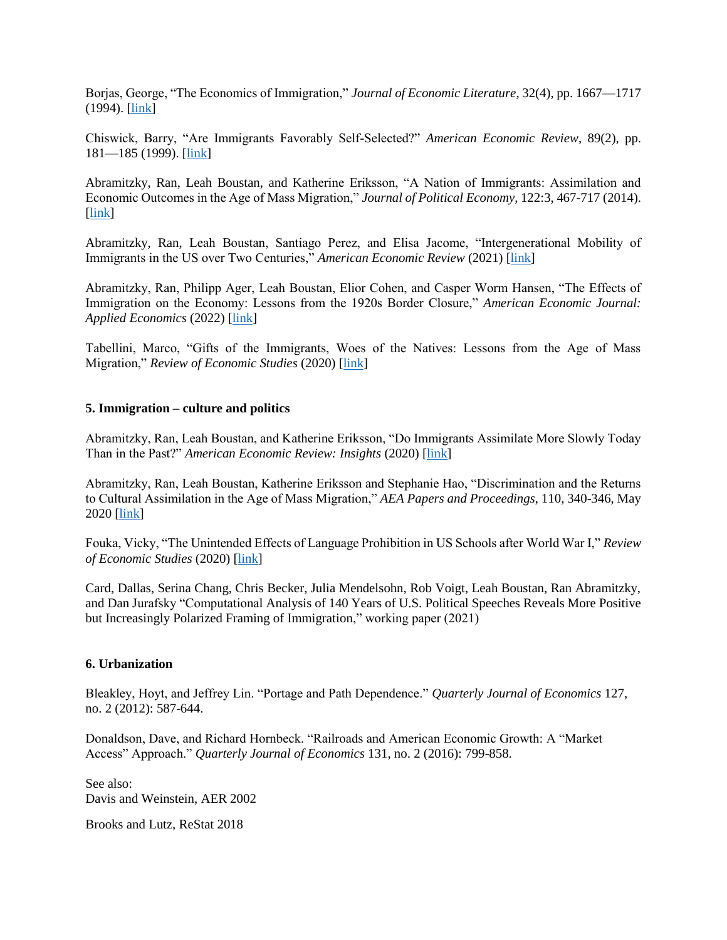Borjas, George, "The Economics of Immigration," *Journal of Economic Literature*, 32(4), pp. 1667—1717 (1994). [\[link\]](http://www.jstor.org/sici?sici=0022-0515(199412)32%3A4%3C1667%3ATEOI%3E2.0.CO%3B2-W)

Chiswick, Barry, "Are Immigrants Favorably Self-Selected?" *American Economic Review*, 89(2), pp. 181—185 (1999). [\[link\]](http://www.jstor.org/sici?sici=0002-8282(199905)89%3A2%3C181%3AAIFS%3E2.0.CO%3B2-1)

Abramitzky, Ran, Leah Boustan, and Katherine Eriksson, "A Nation of Immigrants: Assimilation and Economic Outcomes in the Age of Mass Migration," *Journal of Political Economy*, 122:3, 467-717 (2014). [\[link\]](http://web.stanford.edu/~ranabr/ABE_assimilation.pdf)

Abramitzky, Ran, Leah Boustan, Santiago Perez, and Elisa Jacome, "Intergenerational Mobility of Immigrants in the US over Two Centuries," *American Economic Review* (2021) [\[link\]](https://ranabr.people.stanford.edu/sites/g/files/sbiybj5391/f/w26408.pdf)

Abramitzky, Ran, Philipp Ager, Leah Boustan, Elior Cohen, and Casper Worm Hansen, "The Effects of Immigration on the Economy: Lessons from the 1920s Border Closure," *American Economic Journal: Applied Economics* (2022) [\[link\]](https://ranabr.people.stanford.edu/sites/g/files/sbiybj5391/f/aej_oct222021.pdf)

Tabellini, Marco, "Gifts of the Immigrants, Woes of the Natives: Lessons from the Age of Mass Migration," *Review of Economic Studies* (2020) [\[link\]](https://www.hbs.edu/faculty/Pages/download.aspx?name=19-005.pdf)

## **5. Immigration – culture and politics**

Abramitzky, Ran, Leah Boustan, and Katherine Eriksson, "Do Immigrants Assimilate More Slowly Today Than in the Past?" *American Economic Review: Insights* (2020) [\[link\]](https://ranabr.people.stanford.edu/sites/g/files/sbiybj5391/f/cultural_assimilation.pdf)

Abramitzky, Ran, Leah Boustan, Katherine Eriksson and Stephanie Hao, "Discrimination and the Returns to Cultural Assimilation in the Age of Mass Migration," *AEA Papers and Proceedings*, 110, 340-346, May 2020 [\[link\]](https://pubs.aeaweb.org/doi/pdfplus/10.1257/pandp.20201090)

Fouka, Vicky, "The Unintended Effects of Language Prohibition in US Schools after World War I," *Review of Economic Studies* (2020) [\[link\]](https://academic.oup.com/restud/advance-article/doi/10.1093/restud/rdz024/5472346)

Card, Dallas, Serina Chang, Chris Becker, Julia Mendelsohn, Rob Voigt, Leah Boustan, Ran Abramitzky, and Dan Jurafsky "Computational Analysis of 140 Years of U.S. Political Speeches Reveals More Positive but Increasingly Polarized Framing of Immigration," working paper (2021)

#### **6. Urbanization**

Bleakley, Hoyt, and Jeffrey Lin. "Portage and Path Dependence." *Quarterly Journal of Economics* 127, no. 2 (2012): 587-644.

Donaldson, Dave, and Richard Hornbeck. "Railroads and American Economic Growth: A "Market Access" Approach." *Quarterly Journal of Economics* 131, no. 2 (2016): 799-858.

See also: Davis and Weinstein, AER 2002

Brooks and Lutz, ReStat 2018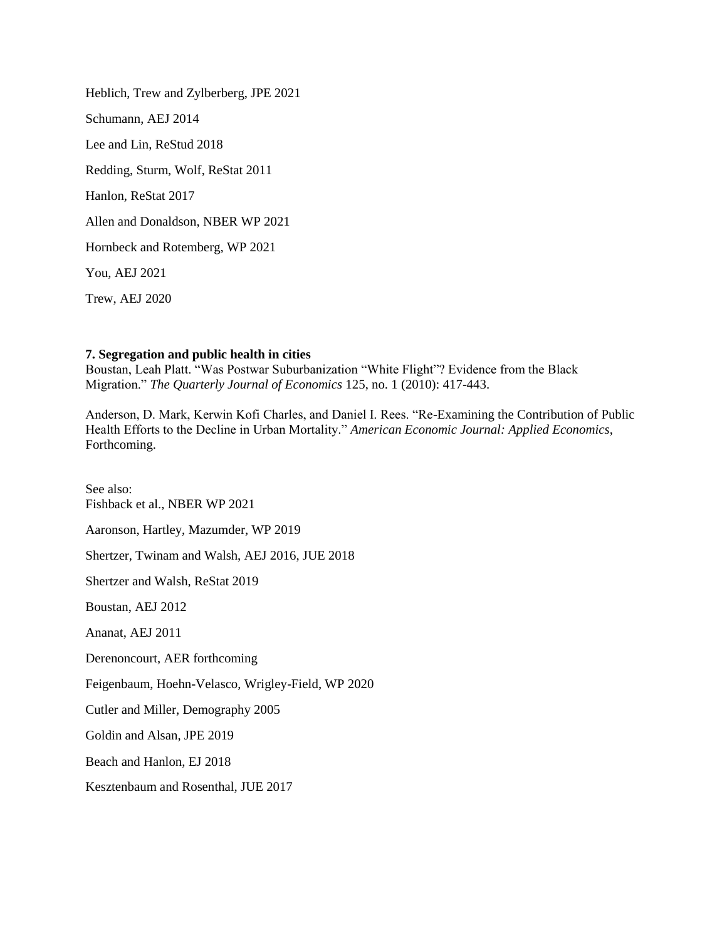Heblich, Trew and Zylberberg, JPE 2021 Schumann, AEJ 2014 Lee and Lin, ReStud 2018 Redding, Sturm, Wolf, ReStat 2011 Hanlon, ReStat 2017 Allen and Donaldson, NBER WP 2021 Hornbeck and Rotemberg, WP 2021 You, AEJ 2021 Trew, AEJ 2020

#### **7. Segregation and public health in cities**

Boustan, Leah Platt. "Was Postwar Suburbanization "White Flight"? Evidence from the Black Migration." *The Quarterly Journal of Economics* 125, no. 1 (2010): 417-443.

Anderson, D. Mark, Kerwin Kofi Charles, and Daniel I. Rees. "Re-Examining the Contribution of Public Health Efforts to the Decline in Urban Mortality." *American Economic Journal: Applied Economics*, Forthcoming.

See also: Fishback et al., NBER WP 2021 Aaronson, Hartley, Mazumder, WP 2019 Shertzer, Twinam and Walsh, AEJ 2016, JUE 2018 Shertzer and Walsh, ReStat 2019 Boustan, AEJ 2012 Ananat, AEJ 2011 Derenoncourt, AER forthcoming Feigenbaum, Hoehn-Velasco, Wrigley-Field, WP 2020 Cutler and Miller, Demography 2005 Goldin and Alsan, JPE 2019 Beach and Hanlon, EJ 2018 Kesztenbaum and Rosenthal, JUE 2017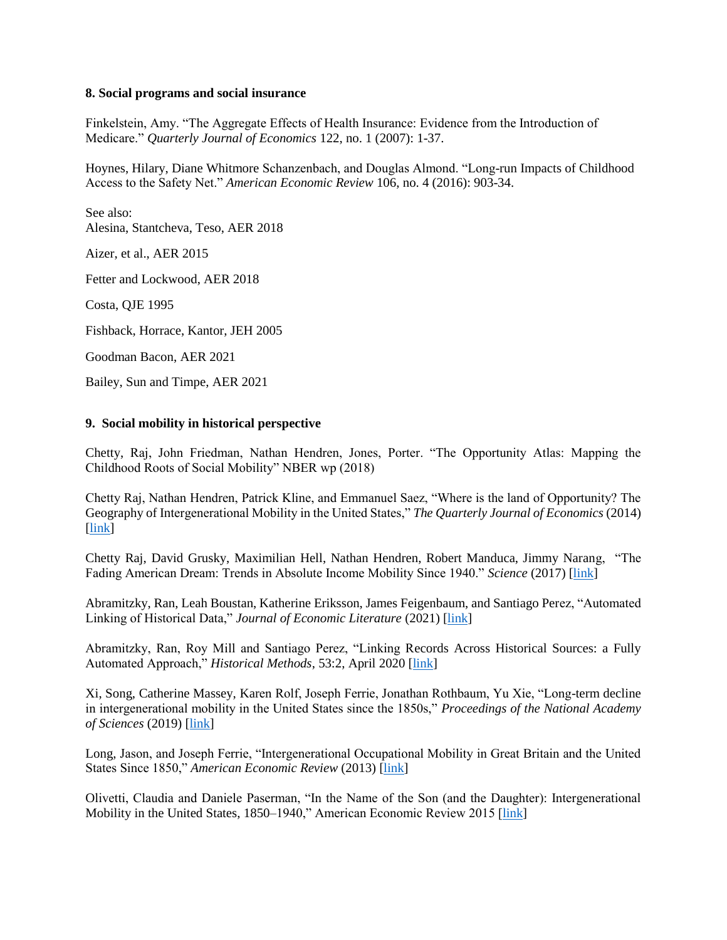#### **8. Social programs and social insurance**

Finkelstein, Amy. "The Aggregate Effects of Health Insurance: Evidence from the Introduction of Medicare." *Quarterly Journal of Economics* 122, no. 1 (2007): 1-37.

Hoynes, Hilary, Diane Whitmore Schanzenbach, and Douglas Almond. "Long-run Impacts of Childhood Access to the Safety Net." *American Economic Review* 106, no. 4 (2016): 903-34.

See also: Alesina, Stantcheva, Teso, AER 2018

Aizer, et al., AER 2015

Fetter and Lockwood, AER 2018

Costa, QJE 1995

Fishback, Horrace, Kantor, JEH 2005

Goodman Bacon, AER 2021

Bailey, Sun and Timpe, AER 2021

## **9. Social mobility in historical perspective**

Chetty, Raj, John Friedman, Nathan Hendren, Jones, Porter. "The Opportunity Atlas: Mapping the Childhood Roots of Social Mobility" NBER wp (2018)

Chetty Raj, Nathan Hendren, Patrick Kline, and Emmanuel Saez, "Where is the land of Opportunity? The Geography of Intergenerational Mobility in the United States," *The Quarterly Journal of Economics* (2014) [\[link\]](https://academic.oup.com/qje/article/129/4/1553/1853754)

Chetty Raj, David Grusky, Maximilian Hell, Nathan Hendren, Robert Manduca, Jimmy Narang, "The Fading American Dream: Trends in Absolute Income Mobility Since 1940." *Science* (2017) [\[link\]](https://www.science.org/doi/10.1126/science.aal4617)

Abramitzky, Ran, Leah Boustan, Katherine Eriksson, James Feigenbaum, and Santiago Perez, "Automated Linking of Historical Data," *Journal of Economic Literature* (2021) [\[link\]](https://ranabr.people.stanford.edu/sites/g/files/sbiybj5391/f/automated_linking_jun9_2020.pdf)

Abramitzky, Ran, Roy Mill and Santiago Perez, "Linking Records Across Historical Sources: a Fully Automated Approach," *Historical Methods*, 53:2, April 2020 [\[link\]](https://ranabr.people.stanford.edu/sites/g/files/sbiybj5391/f/matching_historicalmethod_march27.pdf)

Xi, Song, Catherine Massey, Karen Rolf, Joseph Ferrie, Jonathan Rothbaum, Yu Xie, "Long-term decline in intergenerational mobility in the United States since the 1850s," *Proceedings of the National Academy of Sciences* (2019) [\[link\]](https://ipums.org/sites/www.ipums.org/files/song.pdf)

Long, Jason, and Joseph Ferrie, "Intergenerational Occupational Mobility in Great Britain and the United States Since 1850," *American Economic Review* (2013) [\[link\]](https://pubs.aeaweb.org/doi/pdfplus/10.1257/aer.103.4.1109)

Olivetti, Claudia and Daniele Paserman, "In the Name of the Son (and the Daughter): Intergenerational Mobility in the United States, 1850–1940," American Economic Review 2015 [\[link\]](https://pubs.aeaweb.org/doi/pdfplus/10.1257/aer.20130821)